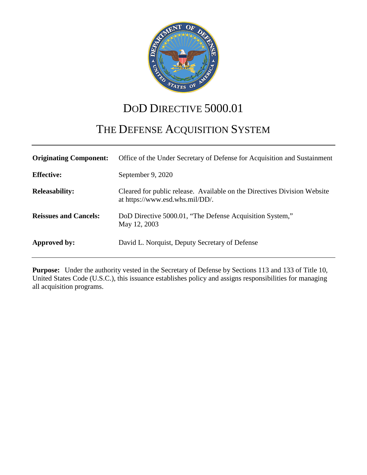

# DOD DIRECTIVE 5000.01

# THE DEFENSE ACQUISITION SYSTEM

| <b>Originating Component:</b> | Office of the Under Secretary of Defense for Acquisition and Sustainment                                    |
|-------------------------------|-------------------------------------------------------------------------------------------------------------|
| <b>Effective:</b>             | September 9, 2020                                                                                           |
| <b>Releasability:</b>         | Cleared for public release. Available on the Directives Division Website<br>at https://www.esd.whs.mil/DD/. |
| <b>Reissues and Cancels:</b>  | DoD Directive 5000.01, "The Defense Acquisition System,"<br>May 12, 2003                                    |
| Approved by:                  | David L. Norquist, Deputy Secretary of Defense                                                              |

**Purpose:** Under the authority vested in the Secretary of Defense by Sections 113 and 133 of Title 10, United States Code (U.S.C.), this issuance establishes policy and assigns responsibilities for managing all acquisition programs.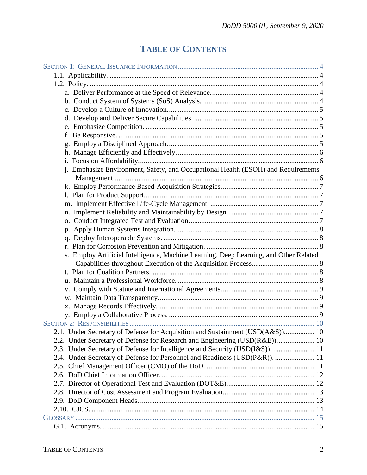## **TABLE OF CONTENTS**

| j. Emphasize Environment, Safety, and Occupational Health (ESOH) and Requirements     |  |
|---------------------------------------------------------------------------------------|--|
|                                                                                       |  |
|                                                                                       |  |
|                                                                                       |  |
|                                                                                       |  |
|                                                                                       |  |
|                                                                                       |  |
|                                                                                       |  |
|                                                                                       |  |
|                                                                                       |  |
| s. Employ Artificial Intelligence, Machine Learning, Deep Learning, and Other Related |  |
|                                                                                       |  |
|                                                                                       |  |
|                                                                                       |  |
|                                                                                       |  |
|                                                                                       |  |
|                                                                                       |  |
|                                                                                       |  |
|                                                                                       |  |
| 2.1. Under Secretary of Defense for Acquisition and Sustainment (USD(A&S)) 10         |  |
| 2.2. Under Secretary of Defense for Research and Engineering (USD(R&E)) 10            |  |
| 2.3. Under Secretary of Defense for Intelligence and Security (USD(I&S)).  11         |  |
| 2.4. Under Secretary of Defense for Personnel and Readiness (USD(P&R)).  11           |  |
|                                                                                       |  |
|                                                                                       |  |
|                                                                                       |  |
|                                                                                       |  |
|                                                                                       |  |
|                                                                                       |  |
|                                                                                       |  |
|                                                                                       |  |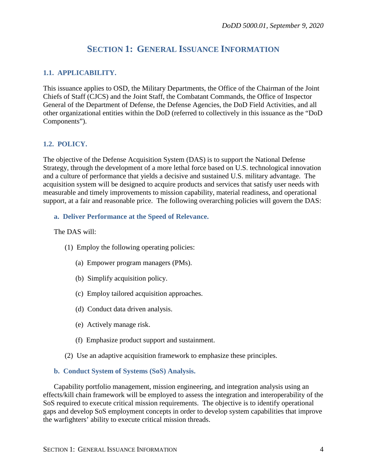### **SECTION 1: GENERAL ISSUANCE INFORMATION**

#### <span id="page-3-1"></span><span id="page-3-0"></span>**1.1. APPLICABILITY.**

This issuance applies to OSD, the Military Departments, the Office of the Chairman of the Joint Chiefs of Staff (CJCS) and the Joint Staff, the Combatant Commands, the Office of Inspector General of the Department of Defense, the Defense Agencies, the DoD Field Activities, and all other organizational entities within the DoD (referred to collectively in this issuance as the "DoD Components").

#### <span id="page-3-2"></span>**1.2. POLICY.**

The objective of the Defense Acquisition System (DAS) is to support the National Defense Strategy, through the development of a more lethal force based on U.S. technological innovation and a culture of performance that yields a decisive and sustained U.S. military advantage. The acquisition system will be designed to acquire products and services that satisfy user needs with measurable and timely improvements to mission capability, material readiness, and operational support, at a fair and reasonable price. The following overarching policies will govern the DAS:

#### <span id="page-3-3"></span>**a. Deliver Performance at the Speed of Relevance.**

#### The DAS will:

- (1) Employ the following operating policies:
	- (a) Empower program managers (PMs).
	- (b) Simplify acquisition policy.
	- (c) Employ tailored acquisition approaches.
	- (d) Conduct data driven analysis.
	- (e) Actively manage risk.
	- (f) Emphasize product support and sustainment.
- (2) Use an adaptive acquisition framework to emphasize these principles.

#### <span id="page-3-4"></span>**b. Conduct System of Systems (SoS) Analysis.**

Capability portfolio management, mission engineering, and integration analysis using an effects/kill chain framework will be employed to assess the integration and interoperability of the SoS required to execute critical mission requirements. The objective is to identify operational gaps and develop SoS employment concepts in order to develop system capabilities that improve the warfighters' ability to execute critical mission threads.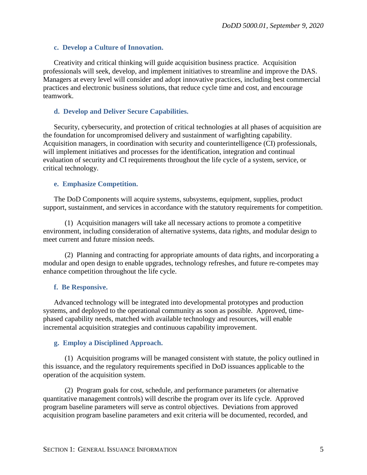#### <span id="page-4-0"></span>**c. Develop a Culture of Innovation.**

Creativity and critical thinking will guide acquisition business practice. Acquisition professionals will seek, develop, and implement initiatives to streamline and improve the DAS. Managers at every level will consider and adopt innovative practices, including best commercial practices and electronic business solutions, that reduce cycle time and cost, and encourage teamwork.

#### <span id="page-4-1"></span>**d. Develop and Deliver Secure Capabilities.**

Security, cybersecurity, and protection of critical technologies at all phases of acquisition are the foundation for uncompromised delivery and sustainment of warfighting capability. Acquisition managers, in coordination with security and counterintelligence (CI) professionals, will implement initiatives and processes for the identification, integration and continual evaluation of security and CI requirements throughout the life cycle of a system, service, or critical technology.

#### <span id="page-4-2"></span>**e. Emphasize Competition.**

The DoD Components will acquire systems, subsystems, equipment, supplies, product support, sustainment, and services in accordance with the statutory requirements for competition.

(1) Acquisition managers will take all necessary actions to promote a competitive environment, including consideration of alternative systems, data rights, and modular design to meet current and future mission needs.

(2) Planning and contracting for appropriate amounts of data rights, and incorporating a modular and open design to enable upgrades, technology refreshes, and future re-competes may enhance competition throughout the life cycle.

#### <span id="page-4-3"></span>**f. Be Responsive.**

Advanced technology will be integrated into developmental prototypes and production systems, and deployed to the operational community as soon as possible. Approved, timephased capability needs, matched with available technology and resources, will enable incremental acquisition strategies and continuous capability improvement.

#### <span id="page-4-4"></span>**g. Employ a Disciplined Approach.**

(1) Acquisition programs will be managed consistent with statute, the policy outlined in this issuance, and the regulatory requirements specified in DoD issuances applicable to the operation of the acquisition system.

(2) Program goals for cost, schedule, and performance parameters (or alternative quantitative management controls) will describe the program over its life cycle. Approved program baseline parameters will serve as control objectives. Deviations from approved acquisition program baseline parameters and exit criteria will be documented, recorded, and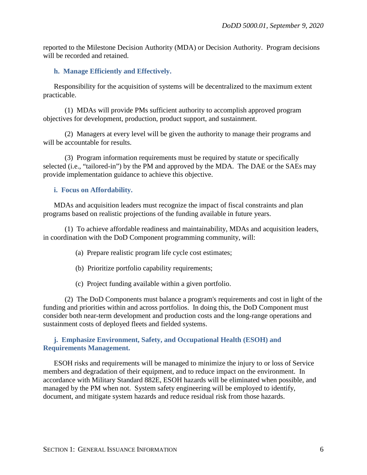reported to the Milestone Decision Authority (MDA) or Decision Authority. Program decisions will be recorded and retained.

#### <span id="page-5-0"></span>**h. Manage Efficiently and Effectively.**

Responsibility for the acquisition of systems will be decentralized to the maximum extent practicable.

(1) MDAs will provide PMs sufficient authority to accomplish approved program objectives for development, production, product support, and sustainment.

(2) Managers at every level will be given the authority to manage their programs and will be accountable for results.

(3) Program information requirements must be required by statute or specifically selected (i.e., "tailored-in") by the PM and approved by the MDA. The DAE or the SAEs may provide implementation guidance to achieve this objective.

#### <span id="page-5-1"></span>**i. Focus on Affordability.**

MDAs and acquisition leaders must recognize the impact of fiscal constraints and plan programs based on realistic projections of the funding available in future years.

(1) To achieve affordable readiness and maintainability, MDAs and acquisition leaders, in coordination with the DoD Component programming community, will:

- (a) Prepare realistic program life cycle cost estimates;
- (b) Prioritize portfolio capability requirements;
- (c) Project funding available within a given portfolio.

(2) The DoD Components must balance a program's requirements and cost in light of the funding and priorities within and across portfolios. In doing this, the DoD Component must consider both near-term development and production costs and the long-range operations and sustainment costs of deployed fleets and fielded systems.

#### <span id="page-5-2"></span>**j. Emphasize Environment, Safety, and Occupational Health (ESOH) and Requirements Management.**

ESOH risks and requirements will be managed to minimize the injury to or loss of Service members and degradation of their equipment, and to reduce impact on the environment. In accordance with Military Standard 882E, ESOH hazards will be eliminated when possible, and managed by the PM when not. System safety engineering will be employed to identify, document, and mitigate system hazards and reduce residual risk from those hazards.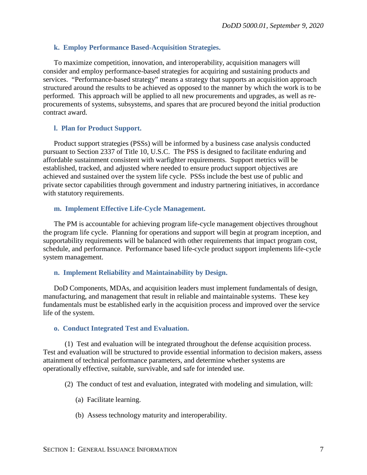#### <span id="page-6-0"></span>**k. Employ Performance Based-Acquisition Strategies.**

To maximize competition, innovation, and interoperability, acquisition managers will consider and employ performance-based strategies for acquiring and sustaining products and services. "Performance-based strategy" means a strategy that supports an acquisition approach structured around the results to be achieved as opposed to the manner by which the work is to be performed. This approach will be applied to all new procurements and upgrades, as well as reprocurements of systems, subsystems, and spares that are procured beyond the initial production contract award.

#### <span id="page-6-1"></span>**l. Plan for Product Support.**

Product support strategies (PSSs) will be informed by a business case analysis conducted pursuant to Section 2337 of Title 10, U.S.C. The PSS is designed to facilitate enduring and affordable sustainment consistent with warfighter requirements. Support metrics will be established, tracked, and adjusted where needed to ensure product support objectives are achieved and sustained over the system life cycle. PSSs include the best use of public and private sector capabilities through government and industry partnering initiatives, in accordance with statutory requirements.

#### <span id="page-6-2"></span>**m. Implement Effective Life-Cycle Management.**

The PM is accountable for achieving program life-cycle management objectives throughout the program life cycle. Planning for operations and support will begin at program inception, and supportability requirements will be balanced with other requirements that impact program cost, schedule, and performance. Performance based life-cycle product support implements life-cycle system management.

#### <span id="page-6-3"></span>**n. Implement Reliability and Maintainability by Design.**

DoD Components, MDAs, and acquisition leaders must implement fundamentals of design, manufacturing, and management that result in reliable and maintainable systems. These key fundamentals must be established early in the acquisition process and improved over the service life of the system.

#### <span id="page-6-4"></span>**o. Conduct Integrated Test and Evaluation.**

(1) Test and evaluation will be integrated throughout the defense acquisition process. Test and evaluation will be structured to provide essential information to decision makers, assess attainment of technical performance parameters, and determine whether systems are operationally effective, suitable, survivable, and safe for intended use.

- (2) The conduct of test and evaluation, integrated with modeling and simulation, will:
	- (a) Facilitate learning.
	- (b) Assess technology maturity and interoperability.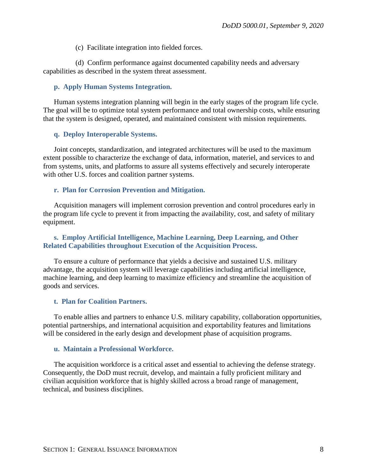(c) Facilitate integration into fielded forces.

(d) Confirm performance against documented capability needs and adversary capabilities as described in the system threat assessment.

#### <span id="page-7-0"></span>**p. Apply Human Systems Integration.**

Human systems integration planning will begin in the early stages of the program life cycle. The goal will be to optimize total system performance and total ownership costs, while ensuring that the system is designed, operated, and maintained consistent with mission requirements.

#### <span id="page-7-1"></span>**q. Deploy Interoperable Systems.**

Joint concepts, standardization, and integrated architectures will be used to the maximum extent possible to characterize the exchange of data, information, materiel, and services to and from systems, units, and platforms to assure all systems effectively and securely interoperate with other U.S. forces and coalition partner systems.

#### <span id="page-7-2"></span>**r. Plan for Corrosion Prevention and Mitigation.**

Acquisition managers will implement corrosion prevention and control procedures early in the program life cycle to prevent it from impacting the availability, cost, and safety of military equipment.

#### <span id="page-7-3"></span>**s. Employ Artificial Intelligence, Machine Learning, Deep Learning, and Other Related Capabilities throughout Execution of the Acquisition Process.**

To ensure a culture of performance that yields a decisive and sustained U.S. military advantage, the acquisition system will leverage capabilities including artificial intelligence, machine learning, and deep learning to maximize efficiency and streamline the acquisition of goods and services.

#### <span id="page-7-4"></span>**t. Plan for Coalition Partners.**

To enable allies and partners to enhance U.S. military capability, collaboration opportunities, potential partnerships, and international acquisition and exportability features and limitations will be considered in the early design and development phase of acquisition programs.

#### <span id="page-7-5"></span>**u. Maintain a Professional Workforce.**

The acquisition workforce is a critical asset and essential to achieving the defense strategy. Consequently, the DoD must recruit, develop, and maintain a fully proficient military and civilian acquisition workforce that is highly skilled across a broad range of management, technical, and business disciplines.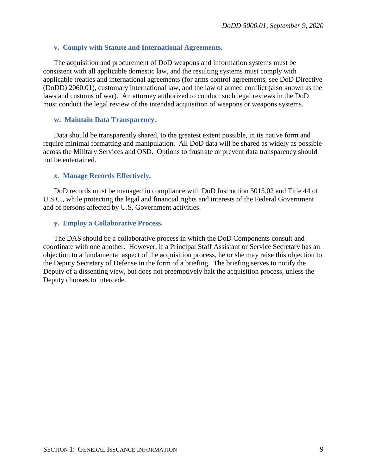#### <span id="page-8-0"></span>**v. Comply with Statute and International Agreements.**

The acquisition and procurement of DoD weapons and information systems must be consistent with all applicable domestic law, and the resulting systems must comply with applicable treaties and international agreements (for arms control agreements, see DoD Directive (DoDD) 2060.01), customary international law, and the law of armed conflict (also known as the laws and customs of war). An attorney authorized to conduct such legal reviews in the DoD must conduct the legal review of the intended acquisition of weapons or weapons systems.

#### <span id="page-8-1"></span>**w. Maintain Data Transparency.**

Data should be transparently shared, to the greatest extent possible, in its native form and require minimal formatting and manipulation. All DoD data will be shared as widely as possible across the Military Services and OSD. Options to frustrate or prevent data transparency should not be entertained.

#### <span id="page-8-2"></span>**x. Manage Records Effectively.**

DoD records must be managed in compliance with DoD Instruction 5015.02 and Title 44 of U.S.C., while protecting the legal and financial rights and interests of the Federal Government and of persons affected by U.S. Government activities.

#### <span id="page-8-3"></span>**y. Employ a Collaborative Process.**

The DAS should be a collaborative process in which the DoD Components consult and coordinate with one another. However, if a Principal Staff Assistant or Service Secretary has an objection to a fundamental aspect of the acquisition process, he or she may raise this objection to the Deputy Secretary of Defense in the form of a briefing. The briefing serves to notify the Deputy of a dissenting view, but does not preemptively halt the acquisition process, unless the Deputy chooses to intercede.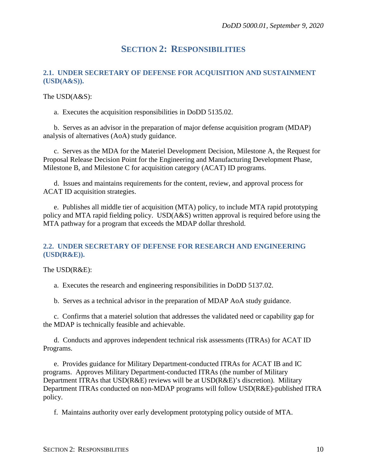### **SECTION 2: RESPONSIBILITIES**

#### <span id="page-9-1"></span><span id="page-9-0"></span>**2.1. UNDER SECRETARY OF DEFENSE FOR ACQUISITION AND SUSTAINMENT (USD(A&S)).**

The USD(A&S):

a. Executes the acquisition responsibilities in DoDD 5135.02.

b. Serves as an advisor in the preparation of major defense acquisition program (MDAP) analysis of alternatives (AoA) study guidance.

c. Serves as the MDA for the Materiel Development Decision, Milestone A, the Request for Proposal Release Decision Point for the Engineering and Manufacturing Development Phase, Milestone B, and Milestone C for acquisition category (ACAT) ID programs.

d. Issues and maintains requirements for the content, review, and approval process for ACAT ID acquisition strategies.

e. Publishes all middle tier of acquisition (MTA) policy, to include MTA rapid prototyping policy and MTA rapid fielding policy. USD(A&S) written approval is required before using the MTA pathway for a program that exceeds the MDAP dollar threshold.

#### <span id="page-9-2"></span>**2.2. UNDER SECRETARY OF DEFENSE FOR RESEARCH AND ENGINEERING (USD(R&E)).**

The USD(R&E):

a. Executes the research and engineering responsibilities in DoDD 5137.02.

b. Serves as a technical advisor in the preparation of MDAP AoA study guidance.

c. Confirms that a materiel solution that addresses the validated need or capability gap for the MDAP is technically feasible and achievable.

d. Conducts and approves independent technical risk assessments (ITRAs) for ACAT ID Programs.

e. Provides guidance for Military Department-conducted ITRAs for ACAT IB and IC programs. Approves Military Department-conducted ITRAs (the number of Military Department ITRAs that USD(R&E) reviews will be at USD(R&E)'s discretion). Military Department ITRAs conducted on non-MDAP programs will follow USD(R&E)-published ITRA policy.

f. Maintains authority over early development prototyping policy outside of MTA.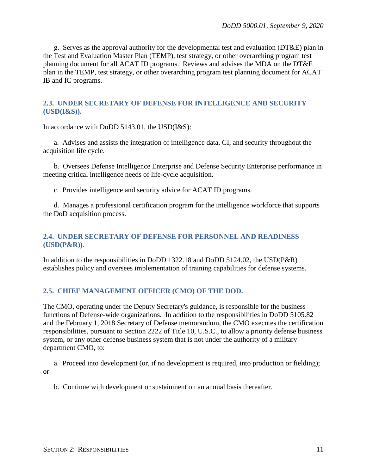g. Serves as the approval authority for the developmental test and evaluation (DT&E) plan in the Test and Evaluation Master Plan (TEMP), test strategy, or other overarching program test planning document for all ACAT ID programs. Reviews and advises the MDA on the DT&E plan in the TEMP, test strategy, or other overarching program test planning document for ACAT IB and IC programs.

#### <span id="page-10-0"></span>**2.3. UNDER SECRETARY OF DEFENSE FOR INTELLIGENCE AND SECURITY (USD(I&S)).**

In accordance with DoDD 5143.01, the USD(I&S):

a. Advises and assists the integration of intelligence data, CI, and security throughout the acquisition life cycle.

b. Oversees Defense Intelligence Enterprise and Defense Security Enterprise performance in meeting critical intelligence needs of life-cycle acquisition.

c. Provides intelligence and security advice for ACAT ID programs.

d. Manages a professional certification program for the intelligence workforce that supports the DoD acquisition process.

#### <span id="page-10-1"></span>**2.4. UNDER SECRETARY OF DEFENSE FOR PERSONNEL AND READINESS (USD(P&R)).**

In addition to the responsibilities in DoDD 1322.18 and DoDD 5124.02, the USD(P&R) establishes policy and oversees implementation of training capabilities for defense systems.

#### <span id="page-10-2"></span>**2.5. CHIEF MANAGEMENT OFFICER (CMO) OF THE DOD.**

The CMO, operating under the Deputy Secretary's guidance, is responsible for the business functions of Defense-wide organizations. In addition to the responsibilities in DoDD 5105.82 and the February 1, 2018 Secretary of Defense memorandum, the CMO executes the certification responsibilities, pursuant to Section 2222 of Title 10, U.S.C., to allow a priority defense business system, or any other defense business system that is not under the authority of a military department CMO, to:

a. Proceed into development (or, if no development is required, into production or fielding); or

b. Continue with development or sustainment on an annual basis thereafter.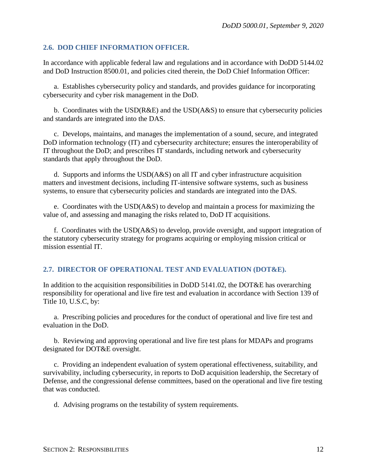#### <span id="page-11-0"></span>**2.6. DOD CHIEF INFORMATION OFFICER.**

In accordance with applicable federal law and regulations and in accordance with DoDD 5144.02 and DoD Instruction 8500.01, and policies cited therein, the DoD Chief Information Officer:

a. Establishes cybersecurity policy and standards, and provides guidance for incorporating cybersecurity and cyber risk management in the DoD.

b. Coordinates with the  $USD(R&E)$  and the  $USD(A&S)$  to ensure that cybersecurity policies and standards are integrated into the DAS.

c. Develops, maintains, and manages the implementation of a sound, secure, and integrated DoD information technology (IT) and cybersecurity architecture; ensures the interoperability of IT throughout the DoD; and prescribes IT standards, including network and cybersecurity standards that apply throughout the DoD.

d. Supports and informs the USD(A&S) on all IT and cyber infrastructure acquisition matters and investment decisions, including IT-intensive software systems, such as business systems, to ensure that cybersecurity policies and standards are integrated into the DAS.

e. Coordinates with the USD(A&S) to develop and maintain a process for maximizing the value of, and assessing and managing the risks related to, DoD IT acquisitions.

f. Coordinates with the USD(A&S) to develop, provide oversight, and support integration of the statutory cybersecurity strategy for programs acquiring or employing mission critical or mission essential IT.

#### <span id="page-11-1"></span>**2.7. DIRECTOR OF OPERATIONAL TEST AND EVALUATION (DOT&E).**

In addition to the acquisition responsibilities in DoDD 5141.02, the DOT&E has overarching responsibility for operational and live fire test and evaluation in accordance with Section 139 of Title 10, U.S.C, by:

a. Prescribing policies and procedures for the conduct of operational and live fire test and evaluation in the DoD.

b. Reviewing and approving operational and live fire test plans for MDAPs and programs designated for DOT&E oversight.

c. Providing an independent evaluation of system operational effectiveness, suitability, and survivability, including cybersecurity, in reports to DoD acquisition leadership, the Secretary of Defense, and the congressional defense committees, based on the operational and live fire testing that was conducted.

d. Advising programs on the testability of system requirements.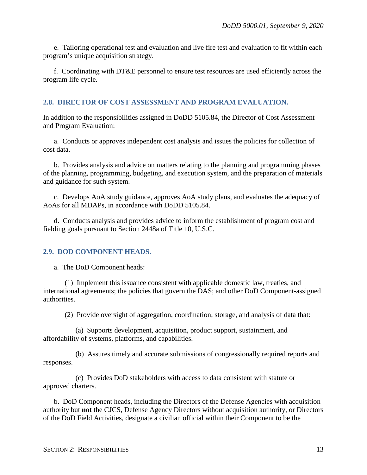e. Tailoring operational test and evaluation and live fire test and evaluation to fit within each program's unique acquisition strategy.

f. Coordinating with DT&E personnel to ensure test resources are used efficiently across the program life cycle.

#### <span id="page-12-0"></span>**2.8. DIRECTOR OF COST ASSESSMENT AND PROGRAM EVALUATION.**

In addition to the responsibilities assigned in DoDD 5105.84, the Director of Cost Assessment and Program Evaluation:

a. Conducts or approves independent cost analysis and issues the policies for collection of cost data.

b. Provides analysis and advice on matters relating to the planning and programming phases of the planning, programming, budgeting, and execution system, and the preparation of materials and guidance for such system.

c. Develops AoA study guidance, approves AoA study plans, and evaluates the adequacy of AoAs for all MDAPs, in accordance with DoDD 5105.84.

d. Conducts analysis and provides advice to inform the establishment of program cost and fielding goals pursuant to Section 2448a of Title 10, U.S.C.

#### <span id="page-12-1"></span>**2.9. DOD COMPONENT HEADS.**

a. The DoD Component heads:

(1) Implement this issuance consistent with applicable domestic law, treaties, and international agreements; the policies that govern the DAS; and other DoD Component-assigned authorities.

(2) Provide oversight of aggregation, coordination, storage, and analysis of data that:

(a) Supports development, acquisition, product support, sustainment, and affordability of systems, platforms, and capabilities.

(b) Assures timely and accurate submissions of congressionally required reports and responses.

(c) Provides DoD stakeholders with access to data consistent with statute or approved charters.

b. DoD Component heads, including the Directors of the Defense Agencies with acquisition authority but **not** the CJCS, Defense Agency Directors without acquisition authority, or Directors of the DoD Field Activities, designate a civilian official within their Component to be the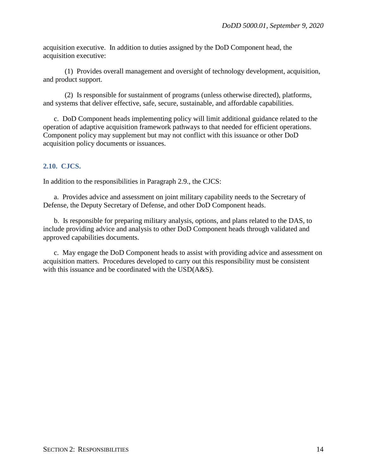acquisition executive. In addition to duties assigned by the DoD Component head, the acquisition executive:

(1) Provides overall management and oversight of technology development, acquisition, and product support.

(2) Is responsible for sustainment of programs (unless otherwise directed), platforms, and systems that deliver effective, safe, secure, sustainable, and affordable capabilities.

c. DoD Component heads implementing policy will limit additional guidance related to the operation of adaptive acquisition framework pathways to that needed for efficient operations. Component policy may supplement but may not conflict with this issuance or other DoD acquisition policy documents or issuances.

#### <span id="page-13-0"></span>**2.10. CJCS.**

In addition to the responsibilities in Paragraph 2.9., the CJCS:

a. Provides advice and assessment on joint military capability needs to the Secretary of Defense, the Deputy Secretary of Defense, and other DoD Component heads.

b. Is responsible for preparing military analysis, options, and plans related to the DAS, to include providing advice and analysis to other DoD Component heads through validated and approved capabilities documents.

c. May engage the DoD Component heads to assist with providing advice and assessment on acquisition matters. Procedures developed to carry out this responsibility must be consistent with this issuance and be coordinated with the USD( $A&S$ ).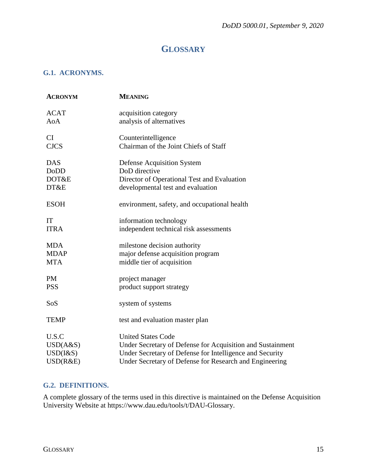## **GLOSSARY**

#### <span id="page-14-1"></span><span id="page-14-0"></span>**G.1. ACRONYMS.**

| <b>ACRONYM</b>  | <b>MEANING</b>                                             |
|-----------------|------------------------------------------------------------|
| <b>ACAT</b>     | acquisition category                                       |
| AoA             | analysis of alternatives                                   |
| <b>CI</b>       | Counterintelligence                                        |
| <b>CJCS</b>     | Chairman of the Joint Chiefs of Staff                      |
| <b>DAS</b>      | <b>Defense Acquisition System</b>                          |
| <b>DoDD</b>     | DoD directive                                              |
| DOT&E           | Director of Operational Test and Evaluation                |
| DT&E            | developmental test and evaluation                          |
| <b>ESOH</b>     | environment, safety, and occupational health               |
| IT              | information technology                                     |
| <b>ITRA</b>     | independent technical risk assessments                     |
| <b>MDA</b>      | milestone decision authority                               |
| <b>MDAP</b>     | major defense acquisition program                          |
| <b>MTA</b>      | middle tier of acquisition                                 |
| <b>PM</b>       | project manager                                            |
| <b>PSS</b>      | product support strategy                                   |
| SoS             | system of systems                                          |
| <b>TEMP</b>     | test and evaluation master plan                            |
| U.S.C           | <b>United States Code</b>                                  |
| USD(A&S)        | Under Secretary of Defense for Acquisition and Sustainment |
| $USD$ ( $\&$ S) | Under Secretary of Defense for Intelligence and Security   |
| USD(R&E)        | Under Secretary of Defense for Research and Engineering    |

#### <span id="page-14-2"></span>**G.2. DEFINITIONS.**

A complete glossary of the terms used in this directive is maintained on the Defense Acquisition University Website at https://www.dau.edu/tools/t/DAU-Glossary.